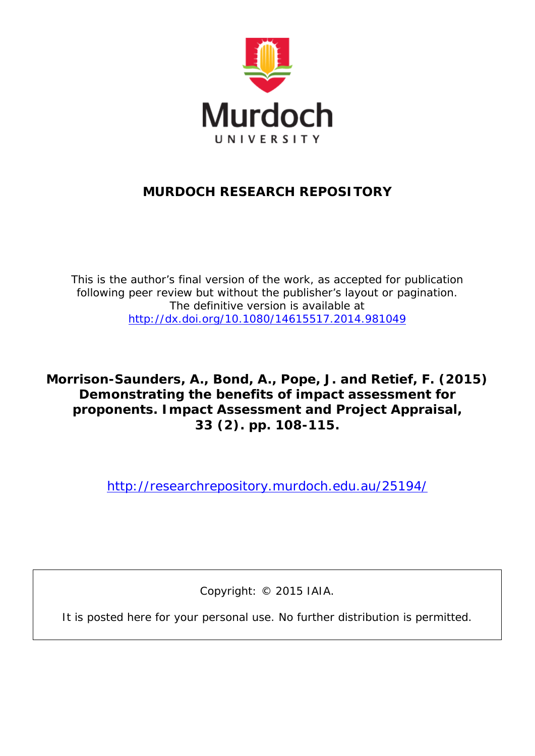

# **MURDOCH RESEARCH REPOSITORY**

*This is the author's final version of the work, as accepted for publication following peer review but without the publisher's layout or pagination. The definitive version is available at <http://dx.doi.org/10.1080/14615517.2014.981049>*

**Morrison-Saunders, A., Bond, A., Pope, J. and Retief, F. (2015) Demonstrating the benefits of impact assessment for proponents. Impact Assessment and Project Appraisal, 33 (2). pp. 108-115.**

<http://researchrepository.murdoch.edu.au/25194/>

Copyright: © 2015 IAIA.

It is posted here for your personal use. No further distribution is permitted.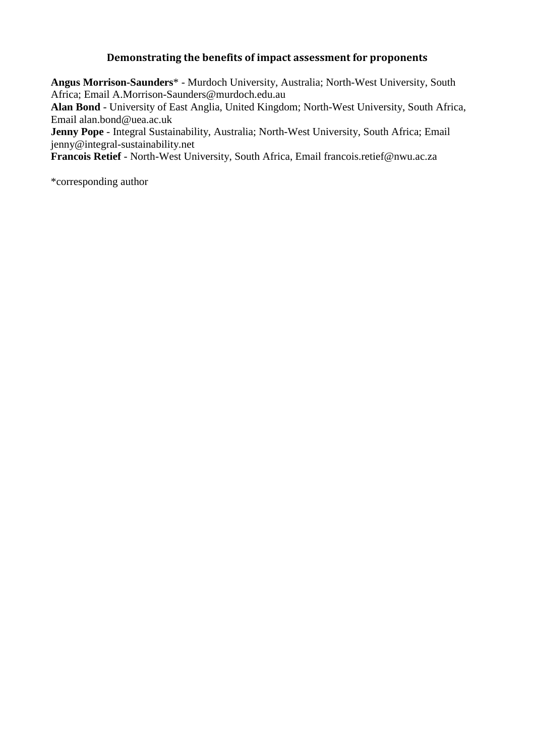## **Demonstrating the benefits of impact assessment for proponents**

**Angus Morrison-Saunders**\* - Murdoch University, Australia; North-West University, South Africa; Email A.Morrison-Saunders@murdoch.edu.au

**Alan Bond** - University of East Anglia, United Kingdom; North-West University, South Africa, Email alan.bond@uea.ac.uk

**Jenny Pope** - Integral Sustainability, Australia; North-West University, South Africa; Email jenny@integral-sustainability.net

**Francois Retief** - North-West University, South Africa, Email francois.retief@nwu.ac.za

\*corresponding author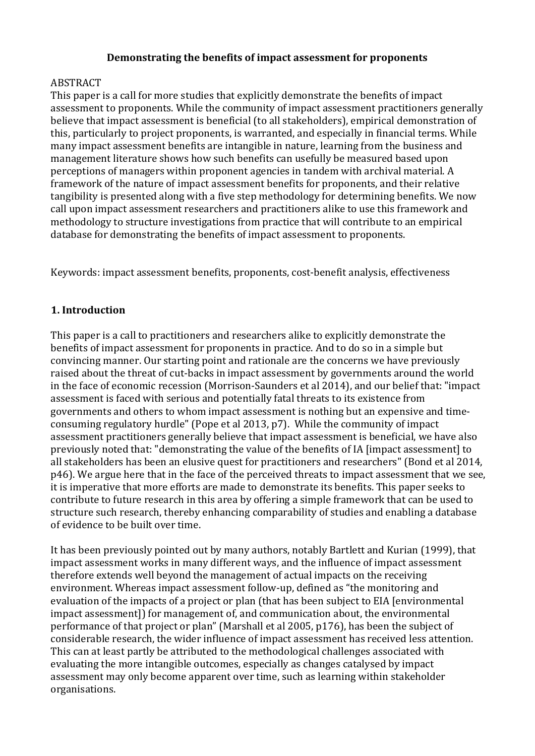## **Demonstrating the benefits of impact assessment for proponents**

## ABSTRACT

This paper is a call for more studies that explicitly demonstrate the benefits of impact assessment to proponents. While the community of impact assessment practitioners generally believe that impact assessment is beneficial (to all stakeholders), empirical demonstration of this, particularly to project proponents, is warranted, and especially in financial terms. While many impact assessment benefits are intangible in nature, learning from the business and management literature shows how such benefits can usefully be measured based upon perceptions of managers within proponent agencies in tandem with archival material. A framework of the nature of impact assessment benefits for proponents, and their relative tangibility is presented along with a five step methodology for determining benefits. We now call upon impact assessment researchers and practitioners alike to use this framework and methodology to structure investigations from practice that will contribute to an empirical database for demonstrating the benefits of impact assessment to proponents.

Keywords: impact assessment benefits, proponents, cost-benefit analysis, effectiveness

# **1. Introduction**

This paper is a call to practitioners and researchers alike to explicitly demonstrate the benefits of impact assessment for proponents in practice. And to do so in a simple but convincing manner. Our starting point and rationale are the concerns we have previously raised about the threat of cut-backs in impact assessment by governments around the world in the face of economic recession (Morrison-Saunders et al 2014), and our belief that: "impact assessment is faced with serious and potentially fatal threats to its existence from governments and others to whom impact assessment is nothing but an expensive and timeconsuming regulatory hurdle" (Pope et al 2013, p7). While the community of impact assessment practitioners generally believe that impact assessment is beneficial, we have also previously noted that: "demonstrating the value of the benefits of IA [impact assessment] to all stakeholders has been an elusive quest for practitioners and researchers" (Bond et al 2014, p46). We argue here that in the face of the perceived threats to impact assessment that we see, it is imperative that more efforts are made to demonstrate its benefits. This paper seeks to contribute to future research in this area by offering a simple framework that can be used to structure such research, thereby enhancing comparability of studies and enabling a database of evidence to be built over time.

It has been previously pointed out by many authors, notably Bartlett and Kurian (1999), that impact assessment works in many different ways, and the influence of impact assessment therefore extends well beyond the management of actual impacts on the receiving environment. Whereas impact assessment follow-up, defined as "the monitoring and evaluation of the impacts of a project or plan (that has been subject to EIA [environmental impact assessment]) for management of, and communication about, the environmental performance of that project or plan" (Marshall et al 2005, p176), has been the subject of considerable research, the wider influence of impact assessment has received less attention. This can at least partly be attributed to the methodological challenges associated with evaluating the more intangible outcomes, especially as changes catalysed by impact assessment may only become apparent over time, such as learning within stakeholder organisations.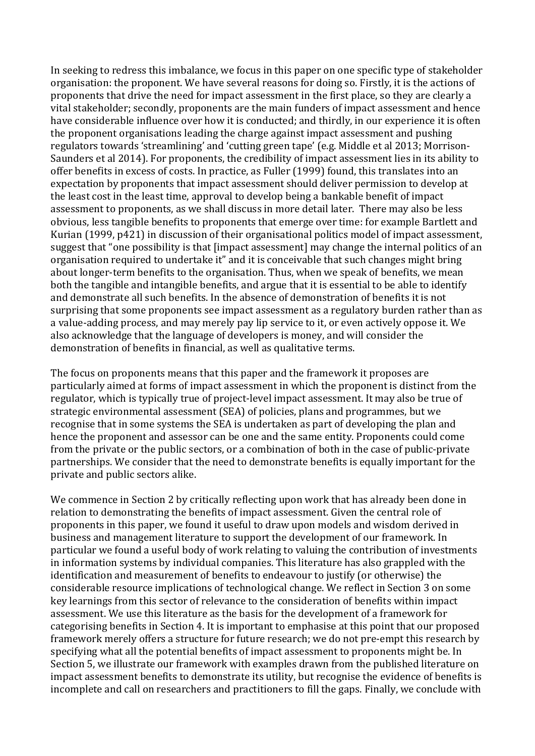In seeking to redress this imbalance, we focus in this paper on one specific type of stakeholder organisation: the proponent. We have several reasons for doing so. Firstly, it is the actions of proponents that drive the need for impact assessment in the first place, so they are clearly a vital stakeholder; secondly, proponents are the main funders of impact assessment and hence have considerable influence over how it is conducted; and thirdly, in our experience it is often the proponent organisations leading the charge against impact assessment and pushing regulators towards 'streamlining' and 'cutting green tape' (e.g. Middle et al 2013; Morrison-Saunders et al 2014). For proponents, the credibility of impact assessment lies in its ability to offer benefits in excess of costs. In practice, as Fuller (1999) found, this translates into an expectation by proponents that impact assessment should deliver permission to develop at the least cost in the least time, approval to develop being a bankable benefit of impact assessment to proponents, as we shall discuss in more detail later. There may also be less obvious, less tangible benefits to proponents that emerge over time: for example Bartlett and Kurian (1999, p421) in discussion of their organisational politics model of impact assessment, suggest that "one possibility is that [impact assessment] may change the internal politics of an organisation required to undertake it" and it is conceivable that such changes might bring about longer-term benefits to the organisation. Thus, when we speak of benefits, we mean both the tangible and intangible benefits, and argue that it is essential to be able to identify and demonstrate all such benefits. In the absence of demonstration of benefits it is not surprising that some proponents see impact assessment as a regulatory burden rather than as a value-adding process, and may merely pay lip service to it, or even actively oppose it. We also acknowledge that the language of developers is money, and will consider the demonstration of benefits in financial, as well as qualitative terms.

The focus on proponents means that this paper and the framework it proposes are particularly aimed at forms of impact assessment in which the proponent is distinct from the regulator, which is typically true of project-level impact assessment. It may also be true of strategic environmental assessment (SEA) of policies, plans and programmes, but we recognise that in some systems the SEA is undertaken as part of developing the plan and hence the proponent and assessor can be one and the same entity. Proponents could come from the private or the public sectors, or a combination of both in the case of public-private partnerships. We consider that the need to demonstrate benefits is equally important for the private and public sectors alike.

We commence in Section 2 by critically reflecting upon work that has already been done in relation to demonstrating the benefits of impact assessment. Given the central role of proponents in this paper, we found it useful to draw upon models and wisdom derived in business and management literature to support the development of our framework. In particular we found a useful body of work relating to valuing the contribution of investments in information systems by individual companies. This literature has also grappled with the identification and measurement of benefits to endeavour to justify (or otherwise) the considerable resource implications of technological change. We reflect in Section 3 on some key learnings from this sector of relevance to the consideration of benefits within impact assessment. We use this literature as the basis for the development of a framework for categorising benefits in Section 4. It is important to emphasise at this point that our proposed framework merely offers a structure for future research; we do not pre-empt this research by specifying what all the potential benefits of impact assessment to proponents might be. In Section 5, we illustrate our framework with examples drawn from the published literature on impact assessment benefits to demonstrate its utility, but recognise the evidence of benefits is incomplete and call on researchers and practitioners to fill the gaps. Finally, we conclude with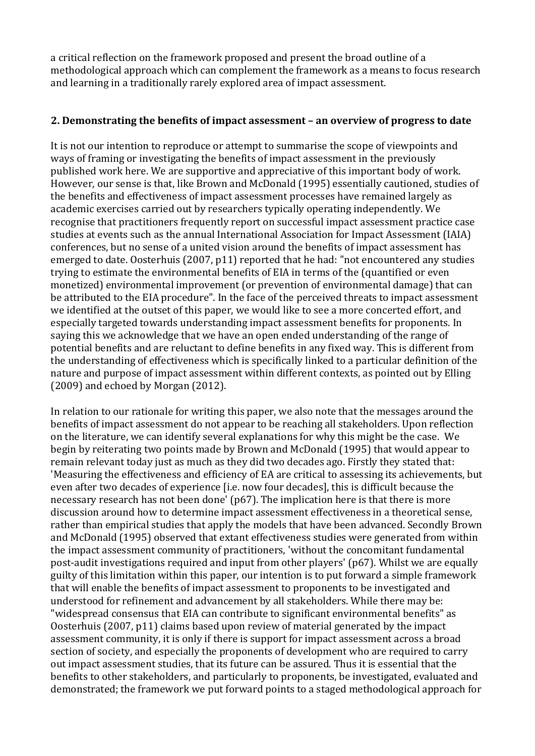a critical reflection on the framework proposed and present the broad outline of a methodological approach which can complement the framework as a means to focus research and learning in a traditionally rarely explored area of impact assessment.

## **2. Demonstrating the benefits of impact assessment – an overview of progress to date**

It is not our intention to reproduce or attempt to summarise the scope of viewpoints and ways of framing or investigating the benefits of impact assessment in the previously published work here. We are supportive and appreciative of this important body of work. However, our sense is that, like Brown and McDonald (1995) essentially cautioned, studies of the benefits and effectiveness of impact assessment processes have remained largely as academic exercises carried out by researchers typically operating independently. We recognise that practitioners frequently report on successful impact assessment practice case studies at events such as the annual International Association for Impact Assessment (IAIA) conferences, but no sense of a united vision around the benefits of impact assessment has emerged to date. Oosterhuis (2007, p11) reported that he had: "not encountered any studies trying to estimate the environmental benefits of EIA in terms of the (quantified or even monetized) environmental improvement (or prevention of environmental damage) that can be attributed to the EIA procedure". In the face of the perceived threats to impact assessment we identified at the outset of this paper, we would like to see a more concerted effort, and especially targeted towards understanding impact assessment benefits for proponents. In saying this we acknowledge that we have an open ended understanding of the range of potential benefits and are reluctant to define benefits in any fixed way. This is different from the understanding of effectiveness which is specifically linked to a particular definition of the nature and purpose of impact assessment within different contexts, as pointed out by Elling (2009) and echoed by Morgan (2012).

In relation to our rationale for writing this paper, we also note that the messages around the benefits of impact assessment do not appear to be reaching all stakeholders. Upon reflection on the literature, we can identify several explanations for why this might be the case. We begin by reiterating two points made by Brown and McDonald (1995) that would appear to remain relevant today just as much as they did two decades ago. Firstly they stated that: 'Measuring the effectiveness and efficiency of EA are critical to assessing its achievements, but even after two decades of experience [i.e. now four decades], this is difficult because the necessary research has not been done' (p67). The implication here is that there is more discussion around how to determine impact assessment effectiveness in a theoretical sense, rather than empirical studies that apply the models that have been advanced. Secondly Brown and McDonald (1995) observed that extant effectiveness studies were generated from within the impact assessment community of practitioners, 'without the concomitant fundamental post-audit investigations required and input from other players' (p67). Whilst we are equally guilty of this limitation within this paper, our intention is to put forward a simple framework that will enable the benefits of impact assessment to proponents to be investigated and understood for refinement and advancement by all stakeholders. While there may be: "widespread consensus that EIA can contribute to significant environmental benefits" as Oosterhuis (2007, p11) claims based upon review of material generated by the impact assessment community, it is only if there is support for impact assessment across a broad section of society, and especially the proponents of development who are required to carry out impact assessment studies, that its future can be assured. Thus it is essential that the benefits to other stakeholders, and particularly to proponents, be investigated, evaluated and demonstrated; the framework we put forward points to a staged methodological approach for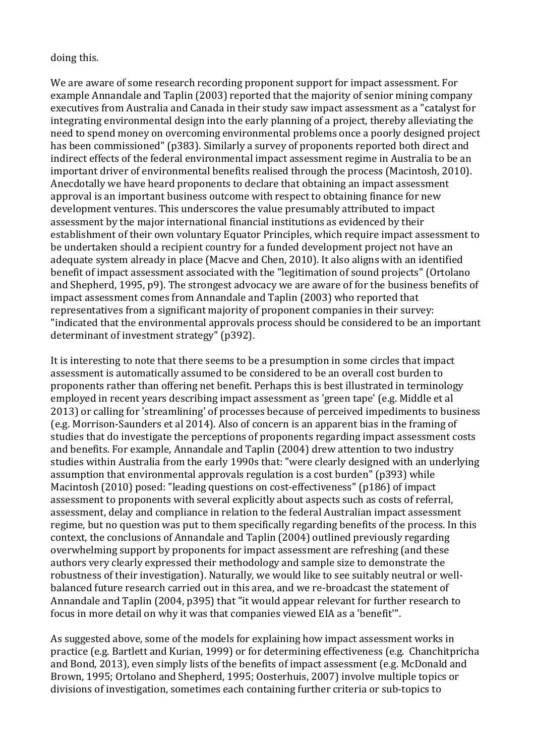#### doing this.

We are aware of some research recording proponent support for impact assessment. For example Annandale and Taplin (2003) reported that the majority of senior mining company executives from Australia and Canada in their study saw impact assessment as a "catalyst for integrating environmental design into the early planning of a project, thereby alleviating the need to spend money on overcoming environmental problems once a poorly designed project has been commissioned" (p383). Similarly a survey of proponents reported both direct and indirect effects of the federal environmental impact assessment regime in Australia to be an important driver of environmental benefits realised through the process (Macintosh, 2010). Anecdotally we have heard proponents to declare that obtaining an impact assessment approval is an important business outcome with respect to obtaining finance for new development ventures. This underscores the value presumably attributed to impact assessment by the major international financial institutions as evidenced by their establishment of their own voluntary Equator Principles, which require impact assessment to be undertaken should a recipient country for a funded development project not have an adequate system already in place (Macve and Chen, 2010). It also aligns with an identified benefit of impact assessment associated with the "legitimation of sound projects" (Ortolano and Shepherd, 1995, p9). The strongest advocacy we are aware of for the business benefits of impact assessment comes from Annandale and Taplin (2003) who reported that representatives from a significant majority of proponent companies in their survey: "indicated that the environmental approvals process should be considered to be an important determinant of investment strategy" (p392).

It is interesting to note that there seems to be a presumption in some circles that impact assessment is automatically assumed to be considered to be an overall cost burden to proponents rather than offering net benefit. Perhaps this is best illustrated in terminology employed in recent years describing impact assessment as 'green tape' (e.g. Middle et al 2013) or calling for 'streamlining' of processes because of perceived impediments to business (e.g. Morrison-Saunders et al 2014). Also of concern is an apparent bias in the framing of studies that do investigate the perceptions of proponents regarding impact assessment costs and benefits. For example, Annandale and Taplin (2004) drew attention to two industry studies within Australia from the early 1990s that: "were clearly designed with an underlying assumption that environmental approvals regulation is a cost burden" (p393) while Macintosh (2010) posed: "leading questions on cost-effectiveness" (p186) of impact assessment to proponents with several explicitly about aspects such as costs of referral, assessment, delay and compliance in relation to the federal Australian impact assessment regime, but no question was put to them specifically regarding benefits of the process. In this context, the conclusions of Annandale and Taplin (2004) outlined previously regarding overwhelming support by proponents for impact assessment are refreshing (and these authors very clearly expressed their methodology and sample size to demonstrate the robustness of their investigation). Naturally, we would like to see suitably neutral or wellbalanced future research carried out in this area, and we re-broadcast the statement of Annandale and Taplin (2004, p395) that "it would appear relevant for further research to focus in more detail on why it was that companies viewed EIA as a 'benefit'".

As suggested above, some of the models for explaining how impact assessment works in practice (e.g. Bartlett and Kurian, 1999) or for determining effectiveness (e.g. Chanchitpricha and Bond, 2013), even simply lists of the benefits of impact assessment (e.g. McDonald and Brown, 1995; Ortolano and Shepherd, 1995; Oosterhuis, 2007) involve multiple topics or divisions of investigation, sometimes each containing further criteria or sub-topics to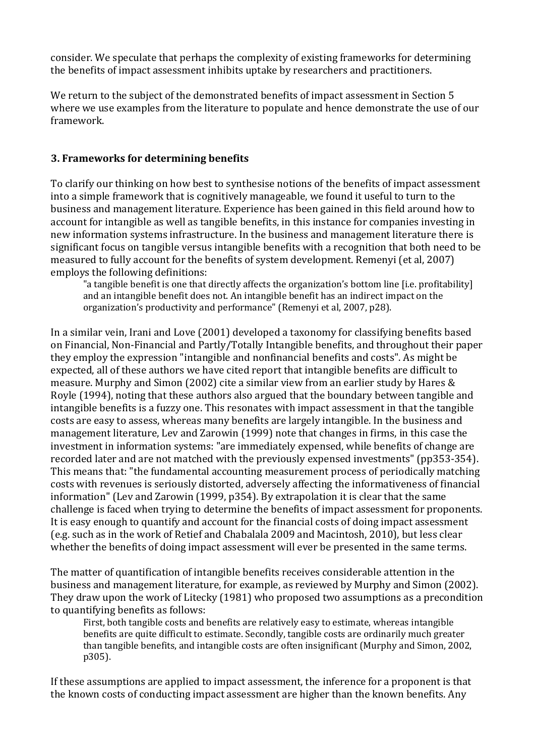consider. We speculate that perhaps the complexity of existing frameworks for determining the benefits of impact assessment inhibits uptake by researchers and practitioners.

We return to the subject of the demonstrated benefits of impact assessment in Section 5 where we use examples from the literature to populate and hence demonstrate the use of our framework.

# **3. Frameworks for determining benefits**

To clarify our thinking on how best to synthesise notions of the benefits of impact assessment into a simple framework that is cognitively manageable, we found it useful to turn to the business and management literature. Experience has been gained in this field around how to account for intangible as well as tangible benefits, in this instance for companies investing in new information systems infrastructure. In the business and management literature there is significant focus on tangible versus intangible benefits with a recognition that both need to be measured to fully account for the benefits of system development. Remenyi (et al, 2007) employs the following definitions:

"a tangible benefit is one that directly affects the organization's bottom line [i.e. profitability] and an intangible benefit does not. An intangible benefit has an indirect impact on the organization's productivity and performance" (Remenyi et al, 2007, p28).

In a similar vein, Irani and Love (2001) developed a taxonomy for classifying benefits based on Financial, Non-Financial and Partly/Totally Intangible benefits, and throughout their paper they employ the expression "intangible and nonfinancial benefits and costs". As might be expected, all of these authors we have cited report that intangible benefits are difficult to measure. Murphy and Simon (2002) cite a similar view from an earlier study by Hares & Royle (1994), noting that these authors also argued that the boundary between tangible and intangible benefits is a fuzzy one. This resonates with impact assessment in that the tangible costs are easy to assess, whereas many benefits are largely intangible. In the business and management literature, Lev and Zarowin (1999) note that changes in firms, in this case the investment in information systems: "are immediately expensed, while benefits of change are recorded later and are not matched with the previously expensed investments" (pp353-354). This means that: "the fundamental accounting measurement process of periodically matching costs with revenues is seriously distorted, adversely affecting the informativeness of financial information" (Lev and Zarowin (1999, p354). By extrapolation it is clear that the same challenge is faced when trying to determine the benefits of impact assessment for proponents. It is easy enough to quantify and account for the financial costs of doing impact assessment (e.g. such as in the work of Retief and Chabalala 2009 and Macintosh, 2010), but less clear whether the benefits of doing impact assessment will ever be presented in the same terms.

The matter of quantification of intangible benefits receives considerable attention in the business and management literature, for example, as reviewed by Murphy and Simon (2002). They draw upon the work of Litecky (1981) who proposed two assumptions as a precondition to quantifying benefits as follows:

First, both tangible costs and benefits are relatively easy to estimate, whereas intangible benefits are quite difficult to estimate. Secondly, tangible costs are ordinarily much greater than tangible benefits, and intangible costs are often insignificant (Murphy and Simon, 2002, p305).

If these assumptions are applied to impact assessment, the inference for a proponent is that the known costs of conducting impact assessment are higher than the known benefits. Any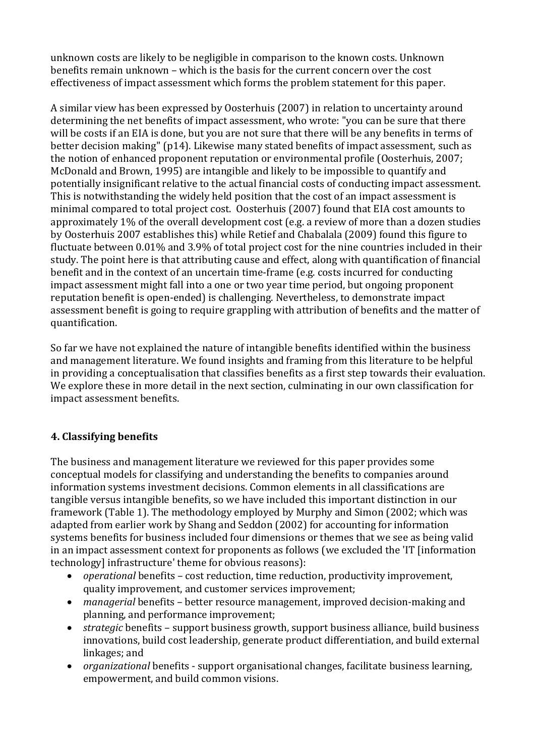unknown costs are likely to be negligible in comparison to the known costs. Unknown benefits remain unknown – which is the basis for the current concern over the cost effectiveness of impact assessment which forms the problem statement for this paper.

A similar view has been expressed by Oosterhuis (2007) in relation to uncertainty around determining the net benefits of impact assessment, who wrote: "you can be sure that there will be costs if an EIA is done, but you are not sure that there will be any benefits in terms of better decision making" (p14). Likewise many stated benefits of impact assessment, such as the notion of enhanced proponent reputation or environmental profile (Oosterhuis, 2007; McDonald and Brown, 1995) are intangible and likely to be impossible to quantify and potentially insignificant relative to the actual financial costs of conducting impact assessment. This is notwithstanding the widely held position that the cost of an impact assessment is minimal compared to total project cost. Oosterhuis (2007) found that EIA cost amounts to approximately 1% of the overall development cost (e.g. a review of more than a dozen studies by Oosterhuis 2007 establishes this) while Retief and Chabalala (2009) found this figure to fluctuate between 0.01% and 3.9% of total project cost for the nine countries included in their study. The point here is that attributing cause and effect, along with quantification of financial benefit and in the context of an uncertain time-frame (e.g. costs incurred for conducting impact assessment might fall into a one or two year time period, but ongoing proponent reputation benefit is open-ended) is challenging. Nevertheless, to demonstrate impact assessment benefit is going to require grappling with attribution of benefits and the matter of quantification.

So far we have not explained the nature of intangible benefits identified within the business and management literature. We found insights and framing from this literature to be helpful in providing a conceptualisation that classifies benefits as a first step towards their evaluation. We explore these in more detail in the next section, culminating in our own classification for impact assessment benefits.

# **4. Classifying benefits**

The business and management literature we reviewed for this paper provides some conceptual models for classifying and understanding the benefits to companies around information systems investment decisions. Common elements in all classifications are tangible versus intangible benefits, so we have included this important distinction in our framework (Table 1). The methodology employed by Murphy and Simon (2002; which was adapted from earlier work by Shang and Seddon (2002) for accounting for information systems benefits for business included four dimensions or themes that we see as being valid in an impact assessment context for proponents as follows (we excluded the 'IT [information technology] infrastructure' theme for obvious reasons):<br>• onerational benefits – cost reduction time reduct

- *operational* benefits cost reduction, time reduction, productivity improvement, quality improvement, and customer services improvement;
- *managerial* benefits better resource management, improved decision-making and planning, and performance improvement;
- *strategic* benefits support business growth, support business alliance, build business innovations, build cost leadership, generate product differentiation, and build external linkages; and
- *organizational* benefits support organisational changes, facilitate business learning, empowerment, and build common visions.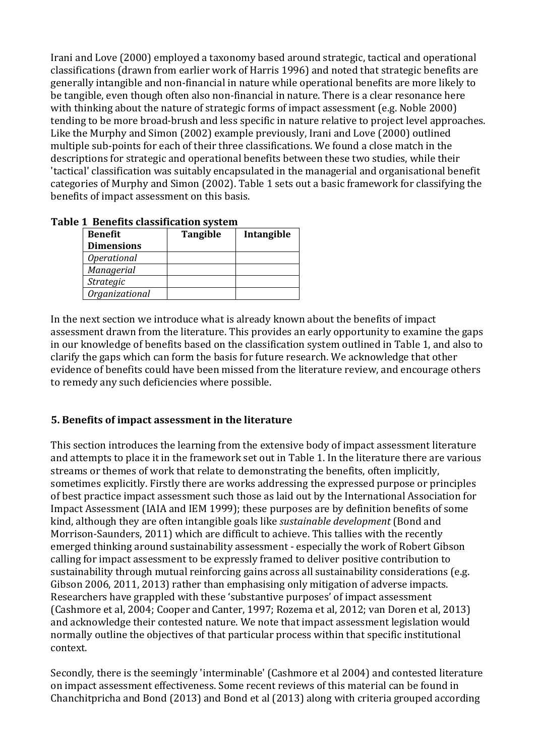Irani and Love (2000) employed a taxonomy based around strategic, tactical and operational classifications (drawn from earlier work of Harris 1996) and noted that strategic benefits are generally intangible and non-financial in nature while operational benefits are more likely to be tangible, even though often also non-financial in nature. There is a clear resonance here with thinking about the nature of strategic forms of impact assessment (e.g. Noble 2000) tending to be more broad-brush and less specific in nature relative to project level approaches. Like the Murphy and Simon (2002) example previously, Irani and Love (2000) outlined multiple sub-points for each of their three classifications. We found a close match in the descriptions for strategic and operational benefits between these two studies, while their 'tactical' classification was suitably encapsulated in the managerial and organisational benefit categories of Murphy and Simon (2002). Table 1 sets out a basic framework for classifying the benefits of impact assessment on this basis.

| <b>Benefit</b><br><b>Dimensions</b> | <b>Tangible</b> | Intangible |
|-------------------------------------|-----------------|------------|
| <i>Operational</i>                  |                 |            |
| Managerial                          |                 |            |
| <i>Strategic</i>                    |                 |            |
| Organizational                      |                 |            |

**Table 1 Benefits classification system**

In the next section we introduce what is already known about the benefits of impact assessment drawn from the literature. This provides an early opportunity to examine the gaps in our knowledge of benefits based on the classification system outlined in Table 1, and also to clarify the gaps which can form the basis for future research. We acknowledge that other evidence of benefits could have been missed from the literature review, and encourage others to remedy any such deficiencies where possible.

# **5. Benefits of impact assessment in the literature**

This section introduces the learning from the extensive body of impact assessment literature and attempts to place it in the framework set out in Table 1. In the literature there are various streams or themes of work that relate to demonstrating the benefits, often implicitly, sometimes explicitly. Firstly there are works addressing the expressed purpose or principles of best practice impact assessment such those as laid out by the International Association for Impact Assessment (IAIA and IEM 1999); these purposes are by definition benefits of some kind, although they are often intangible goals like *sustainable development* (Bond and Morrison-Saunders, 2011) which are difficult to achieve. This tallies with the recently emerged thinking around sustainability assessment - especially the work of Robert Gibson calling for impact assessment to be expressly framed to deliver positive contribution to sustainability through mutual reinforcing gains across all sustainability considerations (e.g. Gibson 2006, 2011, 2013) rather than emphasising only mitigation of adverse impacts. Researchers have grappled with these 'substantive purposes' of impact assessment (Cashmore et al, 2004; Cooper and Canter, 1997; Rozema et al, 2012; van Doren et al, 2013) and acknowledge their contested nature. We note that impact assessment legislation would normally outline the objectives of that particular process within that specific institutional context.

Secondly, there is the seemingly 'interminable' (Cashmore et al 2004) and contested literature on impact assessment effectiveness. Some recent reviews of this material can be found in Chanchitpricha and Bond (2013) and Bond et al (2013) along with criteria grouped according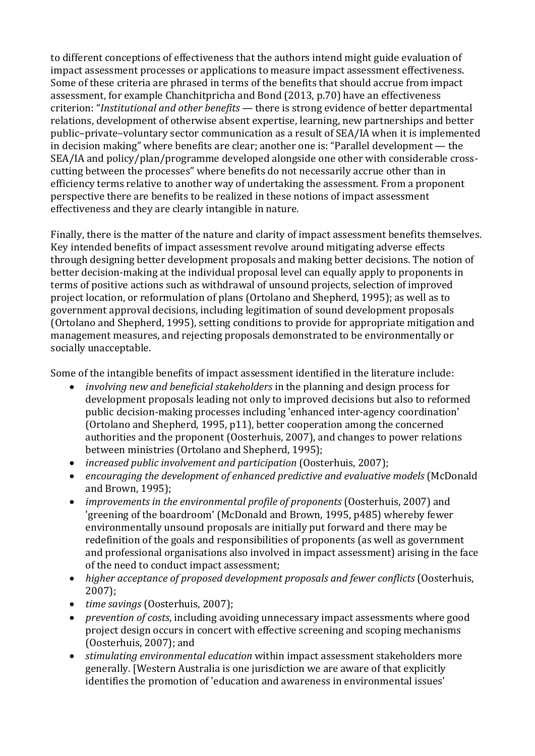to different conceptions of effectiveness that the authors intend might guide evaluation of impact assessment processes or applications to measure impact assessment effectiveness. Some of these criteria are phrased in terms of the benefits that should accrue from impact assessment, for example Chanchitpricha and Bond (2013, p.70) have an effectiveness criterion: "*Institutional and other benefits* — there is strong evidence of better departmental relations, development of otherwise absent expertise, learning, new partnerships and better public–private–voluntary sector communication as a result of SEA/IA when it is implemented in decision making" where benefits are clear; another one is: "Parallel development — the SEA/IA and policy/plan/programme developed alongside one other with considerable crosscutting between the processes" where benefits do not necessarily accrue other than in efficiency terms relative to another way of undertaking the assessment. From a proponent perspective there are benefits to be realized in these notions of impact assessment effectiveness and they are clearly intangible in nature.

Finally, there is the matter of the nature and clarity of impact assessment benefits themselves. Key intended benefits of impact assessment revolve around mitigating adverse effects through designing better development proposals and making better decisions. The notion of better decision-making at the individual proposal level can equally apply to proponents in terms of positive actions such as withdrawal of unsound projects, selection of improved project location, or reformulation of plans (Ortolano and Shepherd, 1995); as well as to government approval decisions, including legitimation of sound development proposals (Ortolano and Shepherd, 1995), setting conditions to provide for appropriate mitigation and management measures, and rejecting proposals demonstrated to be environmentally or socially unacceptable.

Some of the intangible benefits of impact assessment identified in the literature include:

- *involving new and beneficial stakeholders* in the planning and design process for development proposals leading not only to improved decisions but also to reformed public decision-making processes including 'enhanced inter-agency coordination' (Ortolano and Shepherd, 1995, p11), better cooperation among the concerned authorities and the proponent (Oosterhuis, 2007), and changes to power relations between ministries (Ortolano and Shepherd, 1995);
- *increased public involvement and participation* (Oosterhuis, 2007);
- *encouraging the development of enhanced predictive and evaluative models* (McDonald and Brown, 1995);
- *improvements in the environmental profile of proponents* (Oosterhuis, 2007) and 'greening of the boardroom' (McDonald and Brown, 1995, p485) whereby fewer environmentally unsound proposals are initially put forward and there may be redefinition of the goals and responsibilities of proponents (as well as government and professional organisations also involved in impact assessment) arising in the face of the need to conduct impact assessment;
- *higher acceptance of proposed development proposals and fewer conflicts* (Oosterhuis, 2007);
- *time savings* (Oosterhuis, 2007);
- *prevention of costs*, including avoiding unnecessary impact assessments where good project design occurs in concert with effective screening and scoping mechanisms (Oosterhuis, 2007); and
- *stimulating environmental education* within impact assessment stakeholders more generally. [Western Australia is one jurisdiction we are aware of that explicitly identifies the promotion of 'education and awareness in environmental issues'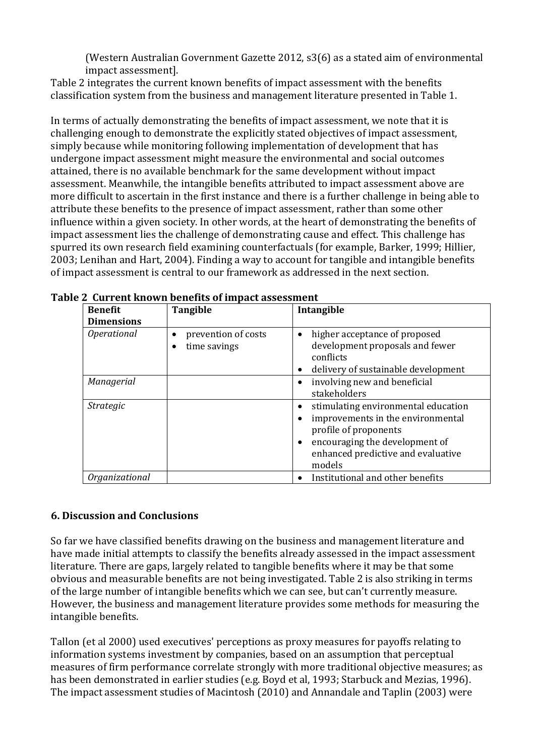(Western Australian Government Gazette 2012, s3(6) as a stated aim of environmental impact assessment].

Table 2 integrates the current known benefits of impact assessment with the benefits classification system from the business and management literature presented in Table 1.

In terms of actually demonstrating the benefits of impact assessment, we note that it is challenging enough to demonstrate the explicitly stated objectives of impact assessment, simply because while monitoring following implementation of development that has undergone impact assessment might measure the environmental and social outcomes attained, there is no available benchmark for the same development without impact assessment. Meanwhile, the intangible benefits attributed to impact assessment above are more difficult to ascertain in the first instance and there is a further challenge in being able to attribute these benefits to the presence of impact assessment, rather than some other influence within a given society. In other words, at the heart of demonstrating the benefits of impact assessment lies the challenge of demonstrating cause and effect. This challenge has spurred its own research field examining counterfactuals (for example, Barker, 1999; Hillier, 2003; Lenihan and Hart, 2004). Finding a way to account for tangible and intangible benefits of impact assessment is central to our framework as addressed in the next section.

| <b>Benefit</b>     | <b>Tangible</b>                                  | Intangible                                                                                                                                                                          |
|--------------------|--------------------------------------------------|-------------------------------------------------------------------------------------------------------------------------------------------------------------------------------------|
| <b>Dimensions</b>  |                                                  |                                                                                                                                                                                     |
| <i>Operational</i> | prevention of costs<br>$\bullet$<br>time savings | higher acceptance of proposed<br>$\bullet$<br>development proposals and fewer<br>conflicts<br>delivery of sustainable development<br>$\bullet$                                      |
| Managerial         |                                                  | involving new and beneficial<br>stakeholders                                                                                                                                        |
| <i>Strategic</i>   |                                                  | stimulating environmental education<br>improvements in the environmental<br>profile of proponents<br>encouraging the development of<br>enhanced predictive and evaluative<br>models |
| Organizational     |                                                  | Institutional and other benefits<br>٠                                                                                                                                               |

**Table 2 Current known benefits of impact assessment**

# **6. Discussion and Conclusions**

So far we have classified benefits drawing on the business and management literature and have made initial attempts to classify the benefits already assessed in the impact assessment literature. There are gaps, largely related to tangible benefits where it may be that some obvious and measurable benefits are not being investigated. Table 2 is also striking in terms of the large number of intangible benefits which we can see, but can't currently measure. However, the business and management literature provides some methods for measuring the intangible benefits.

Tallon (et al 2000) used executives' perceptions as proxy measures for payoffs relating to information systems investment by companies, based on an assumption that perceptual measures of firm performance correlate strongly with more traditional objective measures; as has been demonstrated in earlier studies (e.g. Boyd et al, 1993; Starbuck and Mezias, 1996). The impact assessment studies of Macintosh (2010) and Annandale and Taplin (2003) were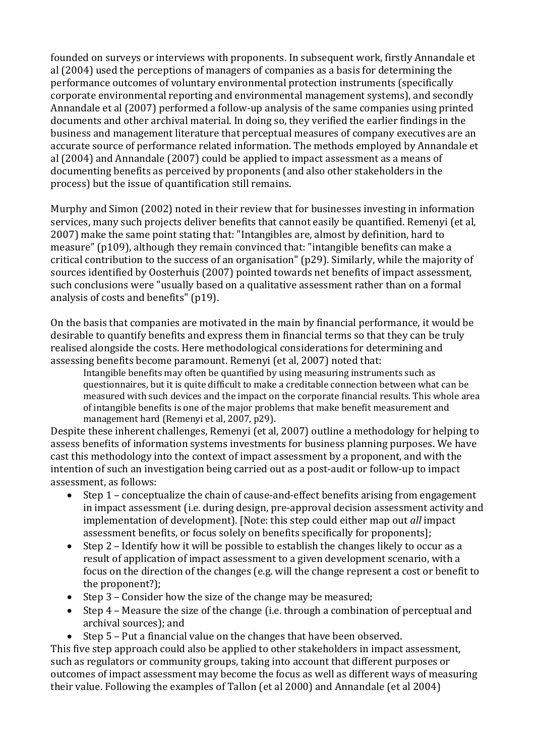founded on surveys or interviews with proponents. In subsequent work, firstly Annandale et al (2004) used the perceptions of managers of companies as a basis for determining the performance outcomes of voluntary environmental protection instruments (specifically corporate environmental reporting and environmental management systems), and secondly Annandale et al (2007) performed a follow-up analysis of the same companies using printed documents and other archival material. In doing so, they verified the earlier findings in the business and management literature that perceptual measures of company executives are an accurate source of performance related information. The methods employed by Annandale et al (2004) and Annandale (2007) could be applied to impact assessment as a means of documenting benefits as perceived by proponents (and also other stakeholders in the process) but the issue of quantification still remains.

Murphy and Simon (2002) noted in their review that for businesses investing in information services, many such projects deliver benefits that cannot easily be quantified. Remenyi (et al, 2007) make the same point stating that: "Intangibles are, almost by definition, hard to measure" (p109), although they remain convinced that: "intangible benefits can make a critical contribution to the success of an organisation" (p29). Similarly, while the majority of sources identified by Oosterhuis (2007) pointed towards net benefits of impact assessment, such conclusions were "usually based on a qualitative assessment rather than on a formal analysis of costs and benefits" (p19).

On the basis that companies are motivated in the main by financial performance, it would be desirable to quantify benefits and express them in financial terms so that they can be truly realised alongside the costs. Here methodological considerations for determining and assessing benefits become paramount. Remenyi (et al, 2007) noted that:

Intangible benefits may often be quantified by using measuring instruments such as questionnaires, but it is quite difficult to make a creditable connection between what can be measured with such devices and the impact on the corporate financial results. This whole area of intangible benefits is one of the major problems that make benefit measurement and management hard (Remenyi et al, 2007, p29).

Despite these inherent challenges, Remenyi (et al, 2007) outline a methodology for helping to assess benefits of information systems investments for business planning purposes. We have cast this methodology into the context of impact assessment by a proponent, and with the intention of such an investigation being carried out as a post-audit or follow-up to impact assessment, as follows:

- Step 1 conceptualize the chain of cause-and-effect benefits arising from engagement in impact assessment (i.e. during design, pre-approval decision assessment activity and implementation of development). [Note: this step could either map out *all* impact assessment benefits, or focus solely on benefits specifically for proponents];
- Step 2 Identify how it will be possible to establish the changes likely to occur as a result of application of impact assessment to a given development scenario, with a focus on the direction of the changes (e.g. will the change represent a cost or benefit to the proponent?);
- Step 3 Consider how the size of the change may be measured;
- Step 4 Measure the size of the change (i.e. through a combination of perceptual and archival sources); and
- Step 5 Put a financial value on the changes that have been observed.

This five step approach could also be applied to other stakeholders in impact assessment, such as regulators or community groups, taking into account that different purposes or outcomes of impact assessment may become the focus as well as different ways of measuring their value. Following the examples of Tallon (et al 2000) and Annandale (et al 2004)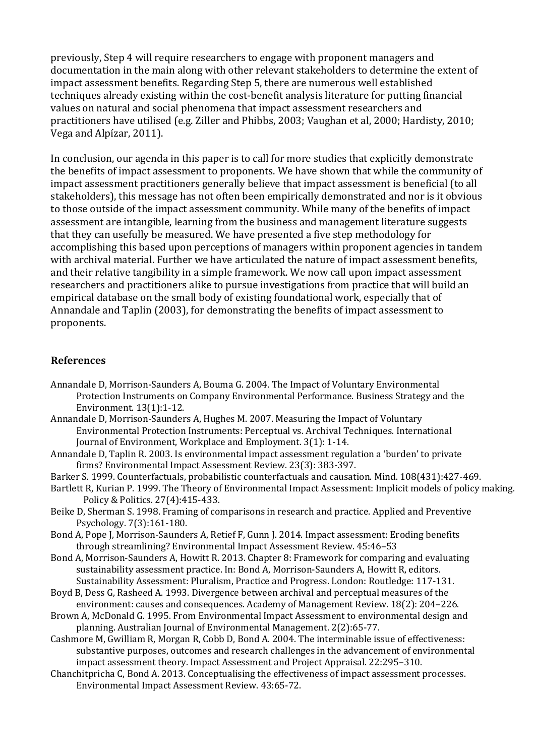previously, Step 4 will require researchers to engage with proponent managers and documentation in the main along with other relevant stakeholders to determine the extent of impact assessment benefits. Regarding Step 5, there are numerous well established techniques already existing within the cost-benefit analysis literature for putting financial values on natural and social phenomena that impact assessment researchers and practitioners have utilised (e.g. Ziller and Phibbs, 2003; Vaughan et al, 2000; Hardisty, 2010; Vega and Alpízar, 2011).

In conclusion, our agenda in this paper is to call for more studies that explicitly demonstrate the benefits of impact assessment to proponents. We have shown that while the community of impact assessment practitioners generally believe that impact assessment is beneficial (to all stakeholders), this message has not often been empirically demonstrated and nor is it obvious to those outside of the impact assessment community. While many of the benefits of impact assessment are intangible, learning from the business and management literature suggests that they can usefully be measured. We have presented a five step methodology for accomplishing this based upon perceptions of managers within proponent agencies in tandem with archival material. Further we have articulated the nature of impact assessment benefits, and their relative tangibility in a simple framework. We now call upon impact assessment researchers and practitioners alike to pursue investigations from practice that will build an empirical database on the small body of existing foundational work, especially that of Annandale and Taplin (2003), for demonstrating the benefits of impact assessment to proponents.

## **References**

- Annandale D, Morrison-Saunders A, Bouma G. 2004. The Impact of Voluntary Environmental Protection Instruments on Company Environmental Performance. Business Strategy and the Environment. 13(1):1-12.
- Annandale D, Morrison-Saunders A, Hughes M. 2007. Measuring the Impact of Voluntary Environmental Protection Instruments: Perceptual vs. Archival Techniques. International Journal of Environment, Workplace and Employment. 3(1): 1-14.
- Annandale D, Taplin R. 2003. Is environmental impact assessment regulation a 'burden' to private firms? Environmental Impact Assessment Review. 23(3): 383-397.
- Barker S. 1999. Counterfactuals, probabilistic counterfactuals and causation. Mind. 108(431):427-469.
- Bartlett R, Kurian P. 1999. The Theory of Environmental Impact Assessment: Implicit models of policy making. Policy & Politics. 27(4):415-433.
- Beike D, Sherman S. 1998. Framing of comparisons in research and practice. Applied and Preventive Psychology. 7(3):161-180.
- Bond A, Pope J, Morrison-Saunders A, Retief F, Gunn J. 2014. Impact assessment: Eroding benefits through streamlining? Environmental Impact Assessment Review. 45:46–53
- Bond A, Morrison-Saunders A, Howitt R. 2013. Chapter 8: Framework for comparing and evaluating sustainability assessment practice. In: Bond A, Morrison-Saunders A, Howitt R, editors. Sustainability Assessment: Pluralism, Practice and Progress. London: Routledge: 117-131.
- Boyd B, Dess G, Rasheed A. 1993. Divergence between archival and perceptual measures of the environment: causes and consequences. Academy of Management Review. 18(2): 204–226.
- Brown A, McDonald G. 1995. From Environmental Impact Assessment to environmental design and planning. Australian Journal of Environmental Management. 2(2):65-77.
- Cashmore M, Gwilliam R, Morgan R, Cobb D, Bond A. 2004. The interminable issue of effectiveness: substantive purposes, outcomes and research challenges in the advancement of environmental impact assessment theory. Impact Assessment and Project Appraisal. 22:295–310.
- Chanchitpricha C, Bond A. 2013. Conceptualising the effectiveness of impact assessment processes. Environmental Impact Assessment Review. 43:65-72.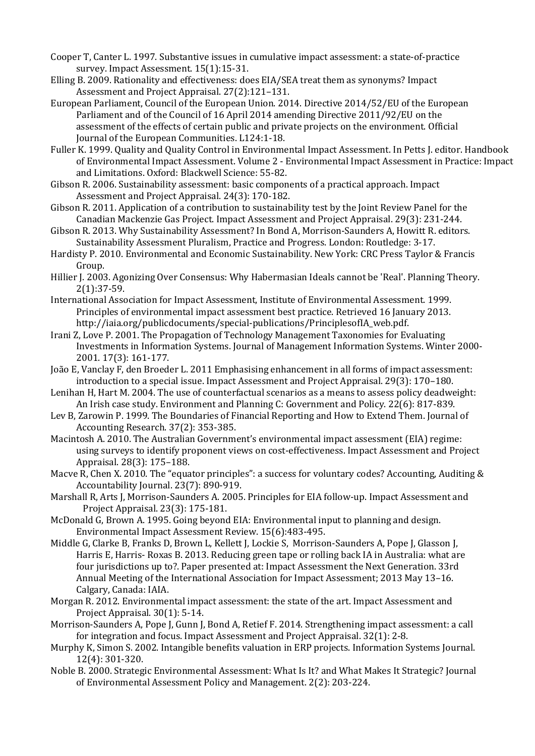- Cooper T, Canter L. 1997. Substantive issues in cumulative impact assessment: a state-of-practice survey. Impact Assessment. 15(1):15-31.
- Elling B. 2009. Rationality and effectiveness: does EIA/SEA treat them as synonyms? Impact Assessment and Project Appraisal. 27(2):121–131.
- European Parliament, Council of the European Union. 2014. Directive 2014/52/EU of the European Parliament and of the Council of 16 April 2014 amending Directive 2011/92/EU on the assessment of the effects of certain public and private projects on the environment. Official Journal of the European Communities. L124:1-18.
- Fuller K. 1999. Quality and Quality Control in Environmental Impact Assessment. In Petts J. editor. Handbook of Environmental Impact Assessment. Volume 2 - Environmental Impact Assessment in Practice: Impact and Limitations. Oxford: Blackwell Science: 55-82.
- Gibson R. 2006. Sustainability assessment: basic components of a practical approach. Impact Assessment and Project Appraisal. 24(3): 170-182.
- Gibson R. 2011. Application of a contribution to sustainability test by the Joint Review Panel for the Canadian Mackenzie Gas Project. Impact Assessment and Project Appraisal. 29(3): 231-244.
- Gibson R. 2013. Why Sustainability Assessment? In Bond A, Morrison-Saunders A, Howitt R. editors. Sustainability Assessment Pluralism, Practice and Progress. London: Routledge: 3-17.
- Hardisty P. 2010. Environmental and Economic Sustainability. New York: CRC Press Taylor & Francis Group.
- Hillier J. 2003. Agonizing Over Consensus: Why Habermasian Ideals cannot be 'Real'. Planning Theory. 2(1):37-59.
- International Association for Impact Assessment, Institute of Environmental Assessment. 1999. Principles of environmental impact assessment best practice. Retrieved 16 January 2013. http://iaia.org/publicdocuments/special-publications/PrinciplesofIA\_web.pdf.
- Irani Z, Love P. 2001. The Propagation of Technology Management Taxonomies for Evaluating Investments in Information Systems. Journal of Management Information Systems. Winter 2000- 2001. 17(3): 161-177.
- João E, Vanclay F, den Broeder L. 2011 Emphasising enhancement in all forms of impact assessment: introduction to a special issue. Impact Assessment and Project Appraisal. 29(3): 170–180.
- Lenihan H, Hart M. 2004. The use of counterfactual scenarios as a means to assess policy deadweight: An Irish case study. Environment and Planning C: Government and Policy. 22(6): 817-839.
- Lev B, Zarowin P. 1999. The Boundaries of Financial Reporting and How to Extend Them. Journal of Accounting Research. 37(2): 353-385.
- Macintosh A. 2010. The Australian Government's environmental impact assessment (EIA) regime: using surveys to identify proponent views on cost-effectiveness. Impact Assessment and Project Appraisal. 28(3): 175–188.
- Macve R, Chen X. 2010. The "equator principles": a success for voluntary codes? Accounting, Auditing & Accountability Journal. 23(7): 890-919.
- Marshall R, Arts J, Morrison-Saunders A. 2005. Principles for EIA follow-up. Impact Assessment and Project Appraisal. 23(3): 175-181.
- McDonald G, Brown A. 1995. Going beyond EIA: Environmental input to planning and design. Environmental Impact Assessment Review. 15(6):483-495.
- Middle G, Clarke B, Franks D, Brown L, Kellett J, Lockie S, Morrison-Saunders A, Pope J, Glasson J, Harris E, Harris- Roxas B. 2013. Reducing green tape or rolling back IA in Australia: what are four jurisdictions up to?. Paper presented at: Impact Assessment the Next Generation. 33rd Annual Meeting of the International Association for Impact Assessment; 2013 May 13–16. Calgary, Canada: IAIA.
- Morgan R. 2012. Environmental impact assessment: the state of the art. Impact Assessment and Project Appraisal. 30(1): 5-14.
- Morrison-Saunders A, Pope J, Gunn J, Bond A, Retief F. 2014. Strengthening impact assessment: a call for integration and focus. Impact Assessment and Project Appraisal. 32(1): 2-8.
- Murphy K, Simon S. 2002. Intangible benefits valuation in ERP projects. Information Systems Journal. 12(4): 301-320.
- Noble B. 2000. Strategic Environmental Assessment: What Is It? and What Makes It Strategic? Journal of Environmental Assessment Policy and Management. 2(2): 203-224.